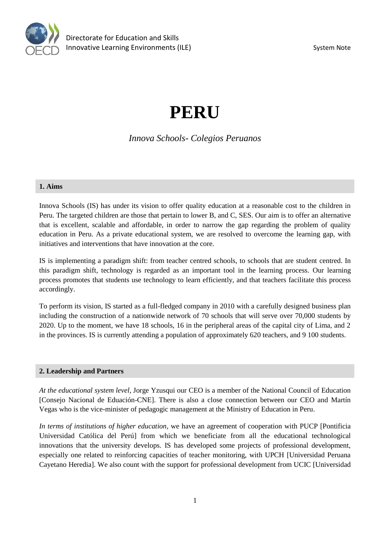

# **PERU**

*Innova Schools- Colegios Peruanos*

# **1. Aims**

Innova Schools (IS) has under its vision to offer quality education at a reasonable cost to the children in Peru. The targeted children are those that pertain to lower B, and C, SES. Our aim is to offer an alternative that is excellent, scalable and affordable, in order to narrow the gap regarding the problem of quality education in Peru. As a private educational system, we are resolved to overcome the learning gap, with initiatives and interventions that have innovation at the core.

IS is implementing a paradigm shift: from teacher centred schools, to schools that are student centred. In this paradigm shift, technology is regarded as an important tool in the learning process. Our learning process promotes that students use technology to learn efficiently, and that teachers facilitate this process accordingly.

To perform its vision, IS started as a full-fledged company in 2010 with a carefully designed business plan including the construction of a nationwide network of 70 schools that will serve over 70,000 students by 2020. Up to the moment, we have 18 schools, 16 in the peripheral areas of the capital city of Lima, and 2 in the provinces. IS is currently attending a population of approximately 620 teachers, and 9 100 students.

# **2. Leadership and Partners**

*At the educational system level*, Jorge Yzusqui our CEO is a member of the National Council of Education [Consejo Nacional de Eduación-CNE]. There is also a close connection between our CEO and Martín Vegas who is the vice-minister of pedagogic management at the Ministry of Education in Peru.

*In terms of institutions of higher education,* we have an agreement of cooperation with PUCP [Pontificia Universidad Católica del Perú] from which we beneficiate from all the educational technological innovations that the university develops. IS has developed some projects of professional development, especially one related to reinforcing capacities of teacher monitoring, with UPCH [Universidad Peruana Cayetano Heredia]. We also count with the support for professional development from UCIC [Universidad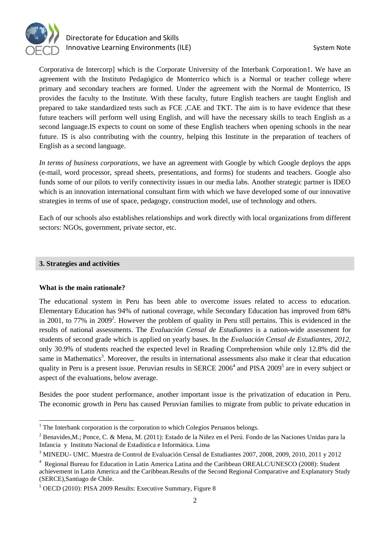

Corporativa de Intercorp] which is the Corporate University of the Interbank Corporation1. We have an agreement with the Instituto Pedagógico de Monterrico which is a Normal or teacher college where primary and secondary teachers are formed. Under the agreement with the Normal de Monterrico, IS provides the faculty to the Institute. With these faculty, future English teachers are taught English and prepared to take standardized tests such as FCE ,CAE and TKT. The aim is to have evidence that these future teachers will perform well using English, and will have the necessary skills to teach English as a second language.IS expects to count on some of these English teachers when opening schools in the near future. IS is also contributing with the country, helping this Institute in the preparation of teachers of English as a second language.

*In terms of business corporations*, we have an agreement with Google by which Google deploys the apps (e-mail, word processor, spread sheets, presentations, and forms) for students and teachers. Google also funds some of our pilots to verify connectivity issues in our media labs. Another strategic partner is IDEO which is an innovation international consultant firm with which we have developed some of our innovative strategies in terms of use of space, pedagogy, construction model, use of technology and others.

Each of our schools also establishes relationships and work directly with local organizations from different sectors: NGOs, government, private sector, etc.

## **3. Strategies and activities**

## **What is the main rationale?**

 $\overline{a}$ 

The educational system in Peru has been able to overcome issues related to access to education. Elementary Education has 94% of national coverage, while Secondary Education has improved from 68% in 2001, to 77% in 2009<sup>2</sup>. However the problem of quality in Peru still pertains. This is evidenced in the results of national assessments. The *Evaluación Censal de Estudiantes* is a nation-wide assessment for students of second grade which is applied on yearly bases. In the *Evaluación Censal de Estudiantes, 2012*, only 30.9% of students reached the expected level in Reading Comprehension while only 12.8% did the same in Mathematics<sup>3</sup>. Moreover, the results in international assessments also make it clear that education quality in Peru is a present issue. Peruvian results in SERCE 2006<sup>4</sup> and PISA 2009<sup>5</sup> are in every subject or aspect of the evaluations, below average.

Besides the poor student performance, another important issue is the privatization of education in Peru. The economic growth in Peru has caused Peruvian families to migrate from public to private education in

<sup>&</sup>lt;sup>1</sup> The Interbank corporation is the corporation to which Colegios Peruanos belongs.

<sup>&</sup>lt;sup>2</sup> Benavides, M.; Ponce, C. & Mena, M. (2011): Estado de la Niñez en el Perú. Fondo de las Naciones Unidas para la Infancia y Instituto Nacional de Estadística e Informática. Lima

<sup>3</sup> MINEDU- UMC. Muestra de Control de Evaluación Censal de Estudiantes 2007, 2008, 2009, 2010, 2011 y 2012

<sup>4</sup> Regional Bureau for Education in Latin America Latina and the Caribbean OREALC/UNESCO (2008): Student achievement in Latin America and the Caribbean.Results of the Second Regional Comparative and Explanatory Study (SERCE),Santiago de Chile.

 $5$  OECD (2010): PISA 2009 Results: Executive Summary, Figure 8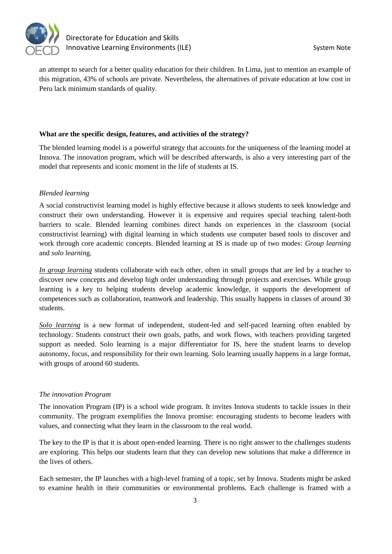

an attempt to search for a better quality education for their children. In Lima, just to mention an example of this migration, 43% of schools are private. Nevertheless, the alternatives of private education at low cost in Peru lack minimum standards of quality.

## **What are the specific design, features, and activities of the strategy?**

The blended learning model is a powerful strategy that accounts for the uniqueness of the learning model at Innova. The innovation program, which will be described afterwards, is also a very interesting part of the model that represents and iconic moment in the life of students at IS.

## *Blended learning*

A social constructivist learning model is highly effective because it allows students to seek knowledge and construct their own understanding. However it is expensive and requires special teaching talent-both barriers to scale. Blended learning combines direct hands on experiences in the classroom (social constructivist learning) with digital learning in which students use computer based tools to discover and work through core academic concepts. Blended learning at IS is made up of two modes: *Group learning* and *solo learnin*g.

*In group learning* students collaborate with each other, often in small groups that are led by a teacher to discover new concepts and develop high order understanding through projects and exercises. While group learning is a key to helping students develop academic knowledge, it supports the development of competences such as collaboration, teamwork and leadership. This usually happens in classes of around 30 students.

*Solo learning* is a new format of independent, student-led and self-paced learning often enabled by technology. Students construct their own goals, paths, and work flows, with teachers providing targeted support as needed. Solo learning is a major differentiator for IS, here the student learns to develop autonomy, focus, and responsibility for their own learning. Solo learning usually happens in a large format, with groups of around 60 students.

## *The innovation Program*

The innovation Program (IP) is a school wide program. It invites Innova students to tackle issues in their community. The program exemplifies the Innova promise: encouraging students to become leaders with values, and connecting what they learn in the classroom to the real world.

The key to the IP is that it is about open-ended learning. There is no right answer to the challenges students are exploring. This helps our students learn that they can develop new solutions that make a difference in the lives of others.

Each semester, the IP launches with a high-level framing of a topic, set by Innova. Students might be asked to examine health in their communities or environmental problems. Each challenge is framed with a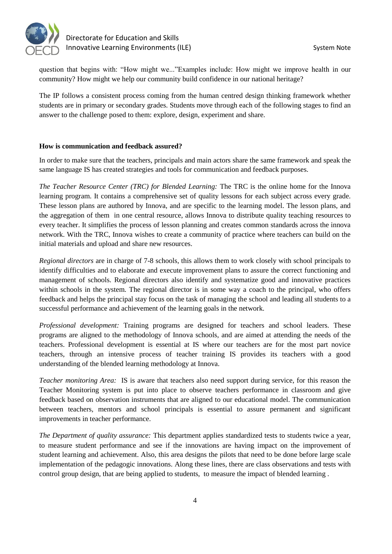

question that begins with: "How might we..."Examples include: How might we improve health in our community? How might we help our community build confidence in our national heritage?

The IP follows a consistent process coming from the human centred design thinking framework whether students are in primary or secondary grades. Students move through each of the following stages to find an answer to the challenge posed to them: explore, design, experiment and share.

# **How is communication and feedback assured?**

In order to make sure that the teachers, principals and main actors share the same framework and speak the same language IS has created strategies and tools for communication and feedback purposes.

*The Teacher Resource Center (TRC) for Blended Learning:* The TRC is the online home for the Innova learning program. It contains a comprehensive set of quality lessons for each subject across every grade. These lesson plans are authored by Innova, and are specific to the learning model. The lesson plans, and the aggregation of them in one central resource, allows Innova to distribute quality teaching resources to every teacher. It simplifies the process of lesson planning and creates common standards across the innova network. With the TRC, Innova wishes to create a community of practice where teachers can build on the initial materials and upload and share new resources.

*Regional directors* are in charge of 7-8 schools, this allows them to work closely with school principals to identify difficulties and to elaborate and execute improvement plans to assure the correct functioning and management of schools. Regional directors also identify and systematize good and innovative practices within schools in the system. The regional director is in some way a coach to the principal, who offers feedback and helps the principal stay focus on the task of managing the school and leading all students to a successful performance and achievement of the learning goals in the network.

*Professional development:* Training programs are designed for teachers and school leaders. These programs are aligned to the methodology of Innova schools, and are aimed at attending the needs of the teachers. Professional development is essential at IS where our teachers are for the most part novice teachers, through an intensive process of teacher training IS provides its teachers with a good understanding of the blended learning methodology at Innova.

*Teacher monitoring Area:* IS is aware that teachers also need support during service, for this reason the Teacher Monitoring system is put into place to observe teachers performance in classroom and give feedback based on observation instruments that are aligned to our educational model. The communication between teachers, mentors and school principals is essential to assure permanent and significant improvements in teacher performance.

*The Department of quality assurance:* This department applies standardized tests to students twice a year, to measure student performance and see if the innovations are having impact on the improvement of student learning and achievement. Also, this area designs the pilots that need to be done before large scale implementation of the pedagogic innovations. Along these lines, there are class observations and tests with control group design, that are being applied to students, to measure the impact of blended learning .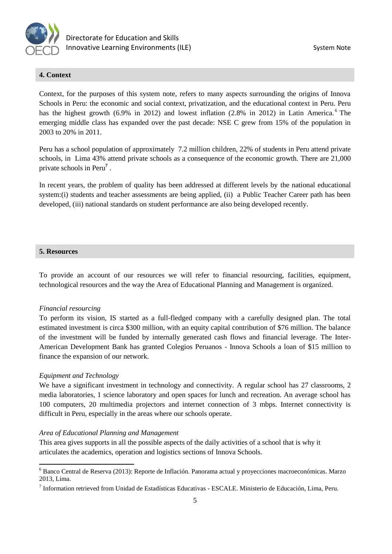

## **4. Context**

Context, for the purposes of this system note, refers to many aspects surrounding the origins of Innova Schools in Peru: the economic and social context, privatization, and the educational context in Peru. Peru has the highest growth (6.9% in 2012) and lowest inflation (2.8% in 2012) in Latin America.<sup>6</sup> The emerging middle class has expanded over the past decade: NSE C grew from 15% of the population in 2003 to 20% in 2011.

Peru has a school population of approximately 7.2 million children, 22% of students in Peru attend private schools, in Lima 43% attend private schools as a consequence of the economic growth. There are 21,000 private schools in Peru**<sup>7</sup>** .

In recent years, the problem of quality has been addressed at different levels by the national educational system:(i) students and teacher assessments are being applied, (ii) a Public Teacher Career path has been developed, (iii) national standards on student performance are also being developed recently.

#### **5. Resources**

To provide an account of our resources we will refer to financial resourcing, facilities, equipment, technological resources and the way the Area of Educational Planning and Management is organized.

## *Financial resourcing*

To perform its vision, IS started as a full-fledged company with a carefully designed plan. The total estimated investment is circa \$300 million, with an equity capital contribution of \$76 million. The balance of the investment will be funded by internally generated cash flows and financial leverage. The Inter-American Development Bank has granted Colegios Peruanos - Innova Schools a loan of \$15 million to finance the expansion of our network.

## *Equipment and Technology*

 $\overline{a}$ 

We have a significant investment in technology and connectivity. A regular school has 27 classrooms, 2 media laboratories, 1 science laboratory and open spaces for lunch and recreation. An average school has 100 computers, 20 multimedia projectors and internet connection of 3 mbps. Internet connectivity is difficult in Peru, especially in the areas where our schools operate.

#### *Area of Educational Planning and Management*

This area gives supports in all the possible aspects of the daily activities of a school that is why it articulates the academics, operation and logistics sections of Innova Schools.

<sup>6</sup> Banco Central de Reserva (2013): Reporte de Inflación. Panorama actual y proyecciones macroeconómicas. Marzo 2013, Lima.

<sup>7</sup> Information retrieved from Unidad de Estadísticas Educativas - ESCALE. Ministerio de Educación, Lima, Peru.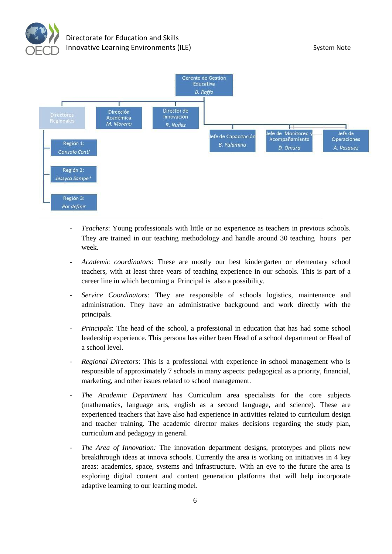



- *Teachers*: Young professionals with little or no experience as teachers in previous schools. They are trained in our teaching methodology and handle around 30 teaching hours per week.
- *Academic coordinators*: These are mostly our best kindergarten or elementary school teachers, with at least three years of teaching experience in our schools. This is part of a career line in which becoming a Principal is also a possibility*.*
- *Service Coordinators:* They are responsible of schools logistics, maintenance and administration. They have an administrative background and work directly with the principals.
- *Principals*: The head of the school, a professional in education that has had some school leadership experience. This persona has either been Head of a school department or Head of a school level.
- *Regional Directors*: This is a professional with experience in school management who is responsible of approximately 7 schools in many aspects: pedagogical as a priority, financial, marketing, and other issues related to school management.
- *The Academic Department* has Curriculum area specialists for the core subjects (mathematics, language arts, english as a second language, and science). These are experienced teachers that have also had experience in activities related to curriculum design and teacher training. The academic director makes decisions regarding the study plan, curriculum and pedagogy in general.
- *The Area of Innovation:* The innovation department designs, prototypes and pilots new breakthrough ideas at innova schools. Currently the area is working on initiatives in 4 key areas: academics, space, systems and infrastructure. With an eye to the future the area is exploring digital content and content generation platforms that will help incorporate adaptive learning to our learning model.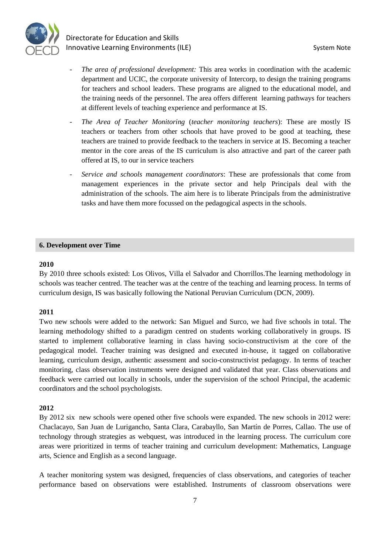

- *The area of professional development:* This area works in coordination with the academic department and UCIC, the corporate university of Intercorp, to design the training programs for teachers and school leaders. These programs are aligned to the educational model, and the training needs of the personnel. The area offers different learning pathways for teachers at different levels of teaching experience and performance at IS.
- *The Area of Teacher Monitoring* (*teacher monitoring teachers*): These are mostly IS teachers or teachers from other schools that have proved to be good at teaching, these teachers are trained to provide feedback to the teachers in service at IS. Becoming a teacher mentor in the core areas of the IS curriculum is also attractive and part of the career path offered at IS, to our in service teachers
- *Service and schools management coordinators*: These are professionals that come from management experiences in the private sector and help Principals deal with the administration of the schools. The aim here is to liberate Principals from the administrative tasks and have them more focussed on the pedagogical aspects in the schools.

#### **6. Development over Time**

#### **2010**

By 2010 three schools existed: Los Olivos, Villa el Salvador and Chorrillos.The learning methodology in schools was teacher centred. The teacher was at the centre of the teaching and learning process. In terms of curriculum design, IS was basically following the National Peruvian Curriculum (DCN, 2009).

## **2011**

Two new schools were added to the network: San Miguel and Surco, we had five schools in total. The learning methodology shifted to a paradigm centred on students working collaboratively in groups. IS started to implement collaborative learning in class having socio-constructivism at the core of the pedagogical model. Teacher training was designed and executed in-house, it tagged on collaborative learning, curriculum design, authentic assessment and socio-constructivist pedagogy. In terms of teacher monitoring, class observation instruments were designed and validated that year. Class observations and feedback were carried out locally in schools, under the supervision of the school Principal, the academic coordinators and the school psychologists.

#### **2012**

By 2012 six new schools were opened other five schools were expanded. The new schools in 2012 were: Chaclacayo, San Juan de Lurigancho, Santa Clara, Carabayllo, San Martín de Porres, Callao. The use of technology through strategies as webquest, was introduced in the learning process. The curriculum core areas were prioritized in terms of teacher training and curriculum development: Mathematics, Language arts, Science and English as a second language.

A teacher monitoring system was designed, frequencies of class observations, and categories of teacher performance based on observations were established. Instruments of classroom observations were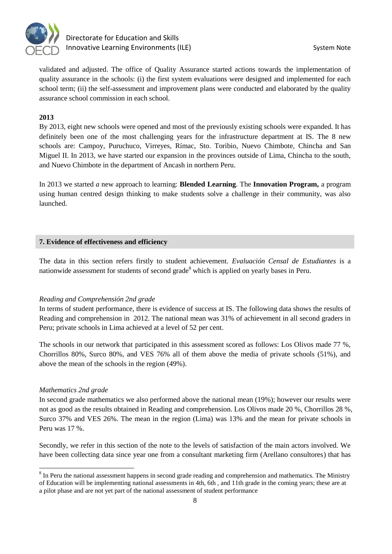

validated and adjusted. The office of Quality Assurance started actions towards the implementation of quality assurance in the schools: (i) the first system evaluations were designed and implemented for each school term; (ii) the self-assessment and improvement plans were conducted and elaborated by the quality assurance school commission in each school.

## **2013**

By 2013, eight new schools were opened and most of the previously existing schools were expanded. It has definitely been one of the most challenging years for the infrastructure department at IS. The 8 new schools are: Campoy, Puruchuco, Virreyes, Rímac, Sto. Toribio, Nuevo Chimbote, Chincha and San Miguel II. In 2013, we have started our expansion in the provinces outside of Lima, Chincha to the south, and Nuevo Chimbote in the department of Ancash in northern Peru.

In 2013 we started *a* new approach to learning: **Blended Learning**. The **Innovation Program,** a program using human centred design thinking to make students solve a challenge in their community, was also launched.

## **7. Evidence of effectiveness and efficiency**

The data in this section refers firstly to student achievement. *Evaluación Censal de Estudiantes* is a nationwide assessment for students of second grade<sup>8</sup> which is applied on yearly bases in Peru.

# *Reading and Comprehensión 2nd grade*

In terms of student performance, there is evidence of success at IS. The following data shows the results of Reading and comprehension in 2012. The national mean was 31% of achievement in all second graders in Peru; private schools in Lima achieved at a level of 52 per cent.

The schools in our network that participated in this assessment scored as follows: Los Olivos made 77 %, Chorrillos 80%, Surco 80%, and VES 76% all of them above the media of private schools (51%), and above the mean of the schools in the region (49%).

## *Mathematics 2nd grade*

 $\overline{a}$ 

In second grade mathematics we also performed above the national mean (19%); however our results were not as good as the results obtained in Reading and comprehension. Los Olivos made 20 %, Chorrillos 28 %, Surco 37% and VES 26%. The mean in the region (Lima) was 13% and the mean for private schools in Peru was 17 %.

Secondly, we refer in this section of the note to the levels of satisfaction of the main actors involved. We have been collecting data since year one from a consultant marketing firm (Arellano consultores) that has

 $8$  In Peru the national assessment happens in second grade reading and comprehension and mathematics. The Ministry of Education will be implementing national assessments in 4th, 6th , and 11th grade in the coming years; these are at a pilot phase and are not yet part of the national assessment of student performance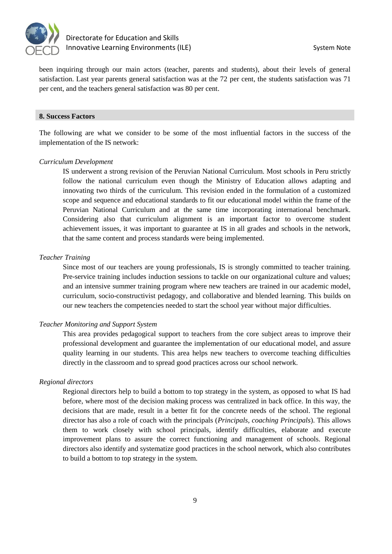

been inquiring through our main actors (teacher, parents and students), about their levels of general satisfaction. Last year parents general satisfaction was at the 72 per cent, the students satisfaction was 71 per cent, and the teachers general satisfaction was 80 per cent.

#### **8. Success Factors**

The following are what we consider to be some of the most influential factors in the success of the implementation of the IS network:

#### *Curriculum Development*

IS underwent a strong revision of the Peruvian National Curriculum. Most schools in Peru strictly follow the national curriculum even though the Ministry of Education allows adapting and innovating two thirds of the curriculum. This revision ended in the formulation of a customized scope and sequence and educational standards to fit our educational model within the frame of the Peruvian National Curriculum and at the same time incorporating international benchmark. Considering also that curriculum alignment is an important factor to overcome student achievement issues, it was important to guarantee at IS in all grades and schools in the network, that the same content and process standards were being implemented.

## *Teacher Training*

Since most of our teachers are young professionals, IS is strongly committed to teacher training. Pre-service training includes induction sessions to tackle on our organizational culture and values; and an intensive summer training program where new teachers are trained in our academic model, curriculum, socio-constructivist pedagogy, and collaborative and blended learning. This builds on our new teachers the competencies needed to start the school year without major difficulties.

## *Teacher Monitoring and Support System*

This area provides pedagogical support to teachers from the core subject areas to improve their professional development and guarantee the implementation of our educational model, and assure quality learning in our students. This area helps new teachers to overcome teaching difficulties directly in the classroom and to spread good practices across our school network.

## *Regional directors*

Regional directors help to build a bottom to top strategy in the system, as opposed to what IS had before, where most of the decision making process was centralized in back office. In this way, the decisions that are made, result in a better fit for the concrete needs of the school. The regional director has also a role of coach with the principals (*Principals, coaching Principals*). This allows them to work closely with school principals, identify difficulties, elaborate and execute improvement plans to assure the correct functioning and management of schools. Regional directors also identify and systematize good practices in the school network, which also contributes to build a bottom to top strategy in the system.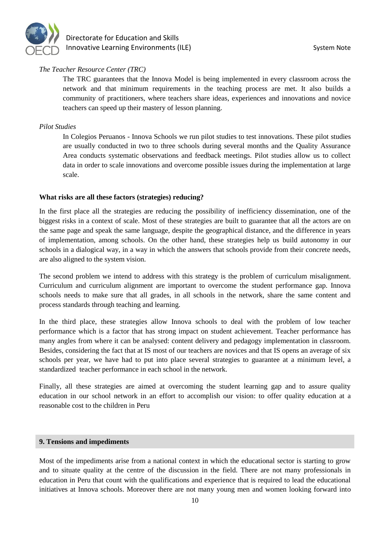

## *The Teacher Resource Center (TRC)*

The TRC guarantees that the Innova Model is being implemented in every classroom across the network and that minimum requirements in the teaching process are met. It also builds a community of practitioners, where teachers share ideas, experiences and innovations and novice teachers can speed up their mastery of lesson planning.

## *Pilot Studies*

In Colegios Peruanos - Innova Schools we run pilot studies to test innovations. These pilot studies are usually conducted in two to three schools during several months and the Quality Assurance Area conducts systematic observations and feedback meetings. Pilot studies allow us to collect data in order to scale innovations and overcome possible issues during the implementation at large scale.

## **What risks are all these factors (strategies) reducing?**

In the first place all the strategies are reducing the possibility of inefficiency dissemination, one of the biggest risks in a context of scale. Most of these strategies are built to guarantee that all the actors are on the same page and speak the same language, despite the geographical distance, and the difference in years of implementation, among schools. On the other hand, these strategies help us build autonomy in our schools in a dialogical way, in a way in which the answers that schools provide from their concrete needs, are also aligned to the system vision.

The second problem we intend to address with this strategy is the problem of curriculum misalignment. Curriculum and curriculum alignment are important to overcome the student performance gap. Innova schools needs to make sure that all grades, in all schools in the network, share the same content and process standards through teaching and learning.

In the third place, these strategies allow Innova schools to deal with the problem of low teacher performance which is a factor that has strong impact on student achievement. Teacher performance has many angles from where it can be analysed: content delivery and pedagogy implementation in classroom. Besides, considering the fact that at IS most of our teachers are novices and that IS opens an average of six schools per year, we have had to put into place several strategies to guarantee at a minimum level, a standardized teacher performance in each school in the network.

Finally, all these strategies are aimed at overcoming the student learning gap and to assure quality education in our school network in an effort to accomplish our vision: to offer quality education at a reasonable cost to the children in Peru

## **9. Tensions and impediments**

Most of the impediments arise from a national context in which the educational sector is starting to grow and to situate quality at the centre of the discussion in the field. There are not many professionals in education in Peru that count with the qualifications and experience that is required to lead the educational initiatives at Innova schools. Moreover there are not many young men and women looking forward into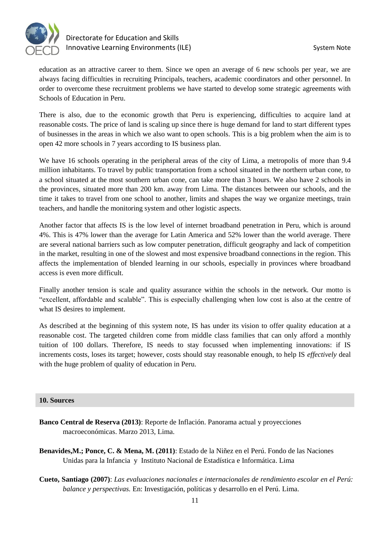

education as an attractive career to them. Since we open an average of 6 new schools per year, we are always facing difficulties in recruiting Principals, teachers, academic coordinators and other personnel. In order to overcome these recruitment problems we have started to develop some strategic agreements with Schools of Education in Peru.

There is also, due to the economic growth that Peru is experiencing, difficulties to acquire land at reasonable costs. The price of land is scaling up since there is huge demand for land to start different types of businesses in the areas in which we also want to open schools. This is a big problem when the aim is to open 42 more schools in 7 years according to IS business plan.

We have 16 schools operating in the peripheral areas of the city of Lima, a metropolis of more than 9.4 million inhabitants. To travel by public transportation from a school situated in the northern urban cone, to a school situated at the most southern urban cone, can take more than 3 hours. We also have 2 schools in the provinces, situated more than 200 km. away from Lima. The distances between our schools, and the time it takes to travel from one school to another, limits and shapes the way we organize meetings, train teachers, and handle the monitoring system and other logistic aspects.

Another factor that affects IS is the low level of internet broadband penetration in Peru, which is around 4%. This is 47% lower than the average for Latin America and 52% lower than the world average. There are several national barriers such as low computer penetration, difficult geography and lack of competition in the market, resulting in one of the slowest and most expensive broadband connections in the region. This affects the implementation of blended learning in our schools, especially in provinces where broadband access is even more difficult.

Finally another tension is scale and quality assurance within the schools in the network. Our motto is "excellent, affordable and scalable". This is especially challenging when low cost is also at the centre of what IS desires to implement.

As described at the beginning of this system note, IS has under its vision to offer quality education at a reasonable cost. The targeted children come from middle class families that can only afford a monthly tuition of 100 dollars. Therefore, IS needs to stay focussed when implementing innovations: if IS increments costs, loses its target; however, costs should stay reasonable enough, to help IS *effectively* deal with the huge problem of quality of education in Peru.

## **10. Sources**

- **Banco Central de Reserva (2013)**: Reporte de Inflación. Panorama actual y proyecciones macroeconómicas. Marzo 2013, Lima.
- **Benavides,M.; Ponce, C. & Mena, M. (2011)**: Estado de la Niñez en el Perú. Fondo de las Naciones Unidas para la Infancia y Instituto Nacional de Estadística e Informática. Lima
- **Cueto, Santiago (2007)**: *Las evaluaciones nacionales e internacionales de rendimiento escolar en el Perú: balance y perspectivas.* En: Investigación, políticas y desarrollo en el Perú. Lima.